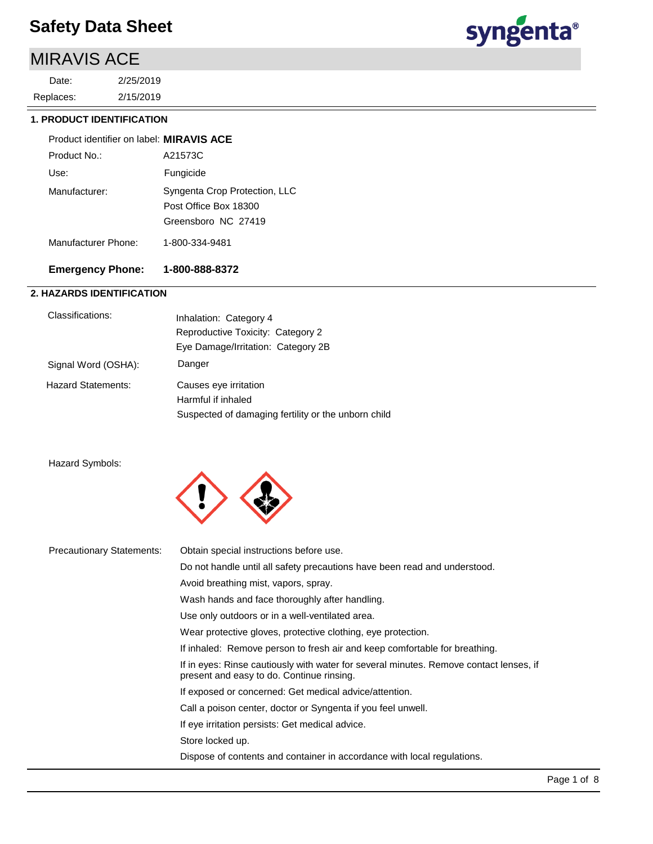## MIRAVIS ACE

2/15/2019 2/25/2019 Replaces: Date:



#### **1. PRODUCT IDENTIFICATION**

| Product identifier on label: MIRAVIS ACE |                                                                               |
|------------------------------------------|-------------------------------------------------------------------------------|
| Product No.:                             | A21573C                                                                       |
| Use:                                     | Fungicide                                                                     |
| Manufacturer:                            | Syngenta Crop Protection, LLC<br>Post Office Box 18300<br>Greensboro NC 27419 |
| Manufacturer Phone:                      | 1-800-334-9481                                                                |

#### **Emergency Phone: 1-800-888-8372**

#### **2. HAZARDS IDENTIFICATION**

| Classifications:          | Inhalation: Category 4<br>Reproductive Toxicity: Category 2<br>Eye Damage/Irritation: Category 2B  |
|---------------------------|----------------------------------------------------------------------------------------------------|
| Signal Word (OSHA):       | Danger                                                                                             |
| <b>Hazard Statements:</b> | Causes eye irritation<br>Harmful if inhaled<br>Suspected of damaging fertility or the unborn child |

#### Hazard Symbols:



| <b>Precautionary Statements:</b> | Obtain special instructions before use.                                                                                             |
|----------------------------------|-------------------------------------------------------------------------------------------------------------------------------------|
|                                  | Do not handle until all safety precautions have been read and understood.                                                           |
|                                  | Avoid breathing mist, vapors, spray.                                                                                                |
|                                  | Wash hands and face thoroughly after handling.                                                                                      |
|                                  | Use only outdoors or in a well-ventilated area.                                                                                     |
|                                  | Wear protective gloves, protective clothing, eye protection.                                                                        |
|                                  | If inhaled: Remove person to fresh air and keep comfortable for breathing.                                                          |
|                                  | If in eyes: Rinse cautiously with water for several minutes. Remove contact lenses, if<br>present and easy to do. Continue rinsing. |
|                                  | If exposed or concerned: Get medical advice/attention.                                                                              |
|                                  | Call a poison center, doctor or Syngenta if you feel unwell.                                                                        |
|                                  | If eye irritation persists: Get medical advice.                                                                                     |
|                                  | Store locked up.                                                                                                                    |
|                                  | Dispose of contents and container in accordance with local regulations.                                                             |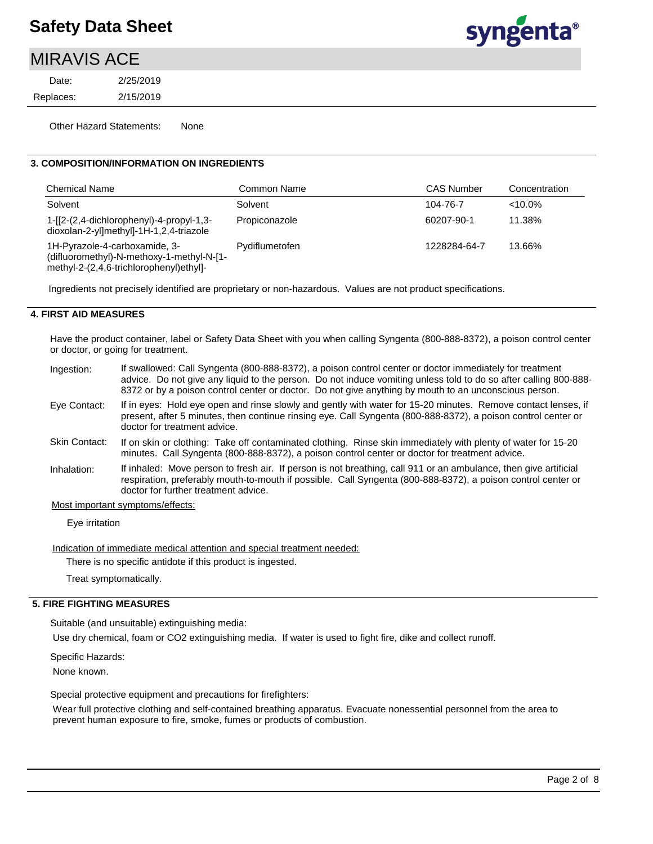## syngenta®

## MIRAVIS ACE

2/15/2019 2/25/2019 Replaces: Date:

Other Hazard Statements: None

#### **3. COMPOSITION/INFORMATION ON INGREDIENTS**

| <b>Chemical Name</b>                                                                                                  | Common Name    | <b>CAS Number</b> | Concentration |
|-----------------------------------------------------------------------------------------------------------------------|----------------|-------------------|---------------|
| Solvent                                                                                                               | Solvent        | 104-76-7          | $<10.0\%$     |
| $1-[2-(2,4-dichloropheny)]-4-propyl-1,3-$<br>dioxolan-2-yl]methyl]-1H-1,2,4-triazole                                  | Propiconazole  | 60207-90-1        | 11.38%        |
| 1H-Pyrazole-4-carboxamide, 3-<br>(difluoromethyl)-N-methoxy-1-methyl-N-[1-<br>methyl-2-(2,4,6-trichlorophenyl)ethyl]- | Pydiflumetofen | 1228284-64-7      | 13.66%        |

Ingredients not precisely identified are proprietary or non-hazardous. Values are not product specifications.

#### **4. FIRST AID MEASURES**

Have the product container, label or Safety Data Sheet with you when calling Syngenta (800-888-8372), a poison control center or doctor, or going for treatment.

| Ingestion:    | If swallowed: Call Syngenta (800-888-8372), a poison control center or doctor immediately for treatment<br>advice. Do not give any liquid to the person. Do not induce vomiting unless told to do so after calling 800-888-<br>8372 or by a poison control center or doctor. Do not give anything by mouth to an unconscious person. |
|---------------|--------------------------------------------------------------------------------------------------------------------------------------------------------------------------------------------------------------------------------------------------------------------------------------------------------------------------------------|
| Eye Contact:  | If in eyes: Hold eye open and rinse slowly and gently with water for 15-20 minutes. Remove contact lenses, if<br>present, after 5 minutes, then continue rinsing eye. Call Syngenta (800-888-8372), a poison control center or<br>doctor for treatment advice.                                                                       |
| Skin Contact: | If on skin or clothing: Take off contaminated clothing. Rinse skin immediately with plenty of water for 15-20<br>minutes. Call Syngenta (800-888-8372), a poison control center or doctor for treatment advice.                                                                                                                      |
| Inhalation:   | If inhaled: Move person to fresh air. If person is not breathing, call 911 or an ambulance, then give artificial<br>respiration, preferably mouth-to-mouth if possible. Call Syngenta (800-888-8372), a poison control center or<br>doctor for further treatment advice.                                                             |
|               | Most important symptoms/effects:                                                                                                                                                                                                                                                                                                     |

Eye irritation

Indication of immediate medical attention and special treatment needed:

There is no specific antidote if this product is ingested.

Treat symptomatically.

#### **5. FIRE FIGHTING MEASURES**

Suitable (and unsuitable) extinguishing media:

Use dry chemical, foam or CO2 extinguishing media. If water is used to fight fire, dike and collect runoff.

Specific Hazards:

None known.

Special protective equipment and precautions for firefighters:

Wear full protective clothing and self-contained breathing apparatus. Evacuate nonessential personnel from the area to prevent human exposure to fire, smoke, fumes or products of combustion.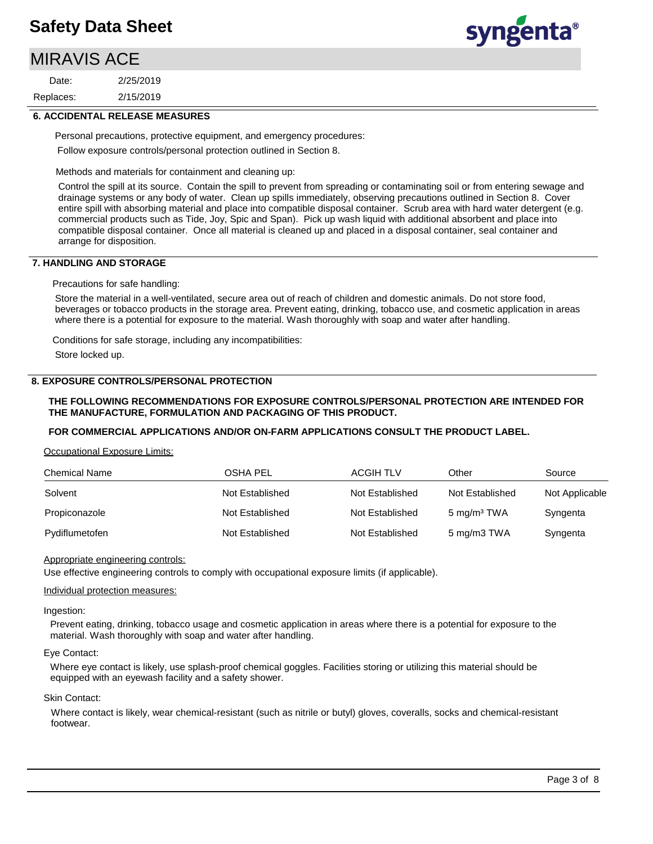## MIRAVIS ACE

2/15/2019 2/25/2019 Replaces: Date:



#### **6. ACCIDENTAL RELEASE MEASURES**

Personal precautions, protective equipment, and emergency procedures: Follow exposure controls/personal protection outlined in Section 8.

Methods and materials for containment and cleaning up:

Control the spill at its source. Contain the spill to prevent from spreading or contaminating soil or from entering sewage and drainage systems or any body of water. Clean up spills immediately, observing precautions outlined in Section 8. Cover entire spill with absorbing material and place into compatible disposal container. Scrub area with hard water detergent (e.g. commercial products such as Tide, Joy, Spic and Span). Pick up wash liquid with additional absorbent and place into compatible disposal container. Once all material is cleaned up and placed in a disposal container, seal container and arrange for disposition.

#### **7. HANDLING AND STORAGE**

Precautions for safe handling:

Store the material in a well-ventilated, secure area out of reach of children and domestic animals. Do not store food, beverages or tobacco products in the storage area. Prevent eating, drinking, tobacco use, and cosmetic application in areas where there is a potential for exposure to the material. Wash thoroughly with soap and water after handling.

Conditions for safe storage, including any incompatibilities:

Store locked up.

#### **8. EXPOSURE CONTROLS/PERSONAL PROTECTION**

#### **THE FOLLOWING RECOMMENDATIONS FOR EXPOSURE CONTROLS/PERSONAL PROTECTION ARE INTENDED FOR THE MANUFACTURE, FORMULATION AND PACKAGING OF THIS PRODUCT.**

#### **FOR COMMERCIAL APPLICATIONS AND/OR ON-FARM APPLICATIONS CONSULT THE PRODUCT LABEL.**

Occupational Exposure Limits:

| <b>Chemical Name</b> | OSHA PEL        | <b>ACGIH TLV</b> | Other                   | Source         |
|----------------------|-----------------|------------------|-------------------------|----------------|
| Solvent              | Not Established | Not Established  | Not Established         | Not Applicable |
| Propiconazole        | Not Established | Not Established  | 5 mg/m <sup>3</sup> TWA | Syngenta       |
| Pydiflumetofen       | Not Established | Not Established  | 5 mg/m3 TWA             | Syngenta       |

#### Appropriate engineering controls:

Use effective engineering controls to comply with occupational exposure limits (if applicable).

#### Individual protection measures:

Ingestion:

Prevent eating, drinking, tobacco usage and cosmetic application in areas where there is a potential for exposure to the material. Wash thoroughly with soap and water after handling.

#### Eye Contact:

Where eye contact is likely, use splash-proof chemical goggles. Facilities storing or utilizing this material should be equipped with an eyewash facility and a safety shower.

#### Skin Contact:

Where contact is likely, wear chemical-resistant (such as nitrile or butyl) gloves, coveralls, socks and chemical-resistant footwear.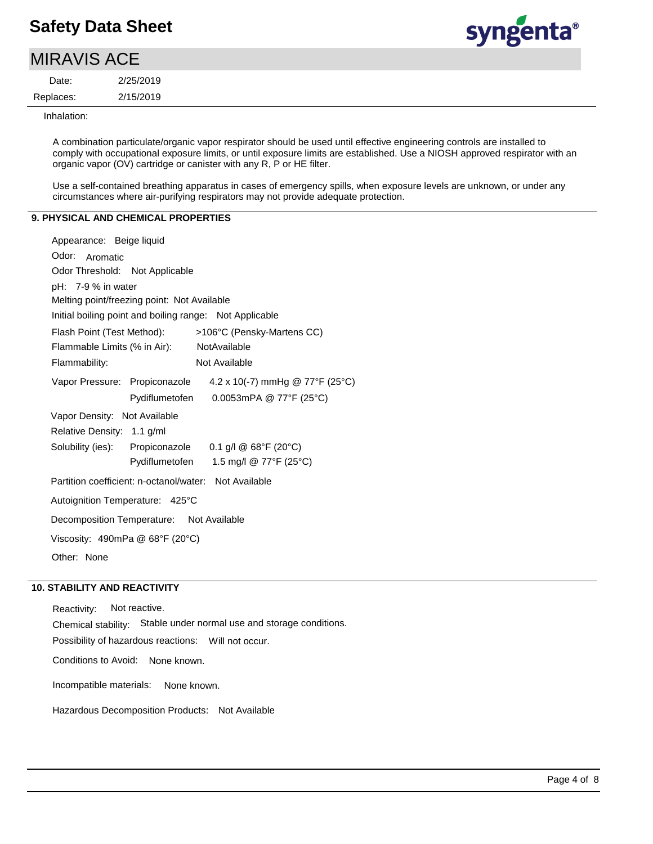$\sim$   $\sim$   $\sim$ 

## syngenta®

| VIIKAVIƏ AUE I |           |  |  |  |
|----------------|-----------|--|--|--|
| Date:          | 2/25/2019 |  |  |  |
| Replaces:      | 2/15/2019 |  |  |  |
|                |           |  |  |  |

Inhalation:

A combination particulate/organic vapor respirator should be used until effective engineering controls are installed to comply with occupational exposure limits, or until exposure limits are established. Use a NIOSH approved respirator with an organic vapor (OV) cartridge or canister with any R, P or HE filter.

Use a self-contained breathing apparatus in cases of emergency spills, when exposure levels are unknown, or under any circumstances where air-purifying respirators may not provide adequate protection.

#### **9. PHYSICAL AND CHEMICAL PROPERTIES**

| Appearance: Beige liquid                              |                                                               |
|-------------------------------------------------------|---------------------------------------------------------------|
| Odor: Aromatic                                        |                                                               |
| Odor Threshold: Not Applicable                        |                                                               |
| $pH: 7-9%$ in water                                   |                                                               |
| Melting point/freezing point: Not Available           |                                                               |
|                                                       | Initial boiling point and boiling range: Not Applicable       |
|                                                       | Flash Point (Test Method): >106°C (Pensky-Martens CC)         |
| Flammable Limits (% in Air): NotAvailable             |                                                               |
| Flammability:                                         | Not Available                                                 |
|                                                       | Vapor Pressure: Propiconazole 4.2 x 10(-7) mmHg @ 77°F (25°C) |
|                                                       | Pydiflumetofen 0.0053mPA @ 77°F (25°C)                        |
| Vapor Density: Not Available                          |                                                               |
| Relative Density: 1.1 g/ml                            |                                                               |
|                                                       | Solubility (ies): Propiconazole 0.1 g/l @ 68°F (20°C)         |
|                                                       | Pydiflumetofen 1.5 mg/l @ 77°F (25°C)                         |
| Partition coefficient: n-octanol/water: Not Available |                                                               |
| Autoignition Temperature: 425°C                       |                                                               |
| Decomposition Temperature: Not Available              |                                                               |
| Viscosity: 490mPa @ 68°F (20°C)                       |                                                               |
| Other: None                                           |                                                               |

#### **10. STABILITY AND REACTIVITY**

Incompatible materials: None known. Possibility of hazardous reactions: Will not occur. Chemical stability: Stable under normal use and storage conditions. Reactivity: Not reactive. Conditions to Avoid: None known.

Hazardous Decomposition Products: Not Available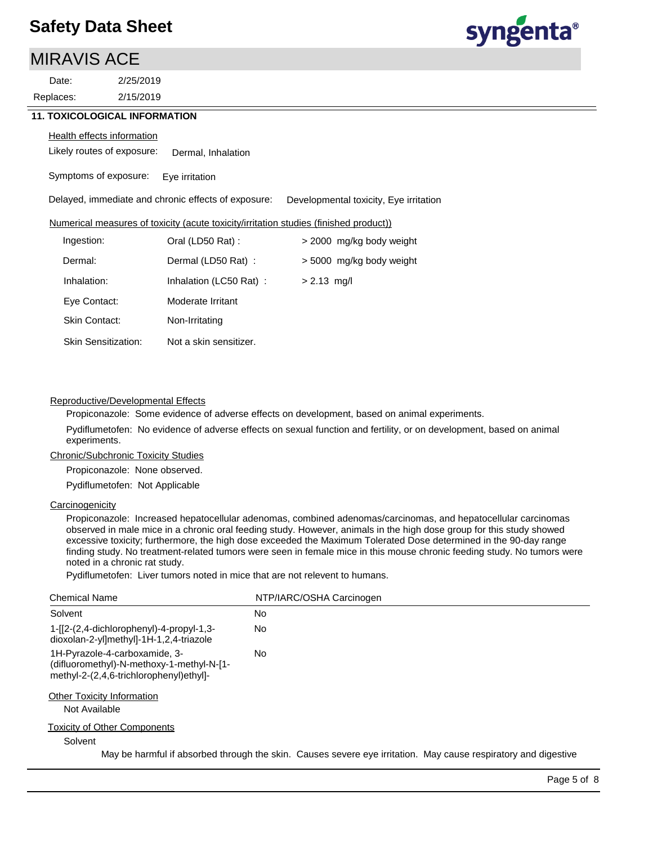### MIRAVIS ACE

2/15/2019 Replaces: Date:

2/25/2019



#### **11. TOXICOLOGICAL INFORMATION**

#### **Health effects information**

Likely routes of exposure: Dermal, Inhalation

Symptoms of exposure: Eye irritation

Delayed, immediate and chronic effects of exposure: Developmental toxicity, Eye irritation

#### Numerical measures of toxicity (acute toxicity/irritation studies (finished product))

| Ingestion:                 | Oral (LD50 Rat):       | > 2000 mg/kg body weight |
|----------------------------|------------------------|--------------------------|
| Dermal:                    | Dermal (LD50 Rat):     | > 5000 mg/kg body weight |
| Inhalation:                | Inhalation (LC50 Rat): | $> 2.13$ mg/l            |
| Eye Contact:               | Moderate Irritant      |                          |
| Skin Contact:              | Non-Irritating         |                          |
| <b>Skin Sensitization:</b> | Not a skin sensitizer. |                          |

#### Reproductive/Developmental Effects

Propiconazole: Some evidence of adverse effects on development, based on animal experiments.

Pydiflumetofen: No evidence of adverse effects on sexual function and fertility, or on development, based on animal experiments.

#### Chronic/Subchronic Toxicity Studies

Propiconazole: None observed.

Pydiflumetofen: Not Applicable

#### **Carcinogenicity**

Propiconazole: Increased hepatocellular adenomas, combined adenomas/carcinomas, and hepatocellular carcinomas observed in male mice in a chronic oral feeding study. However, animals in the high dose group for this study showed excessive toxicity; furthermore, the high dose exceeded the Maximum Tolerated Dose determined in the 90-day range finding study. No treatment-related tumors were seen in female mice in this mouse chronic feeding study. No tumors were noted in a chronic rat study.

Pydiflumetofen: Liver tumors noted in mice that are not relevent to humans.

| <b>Chemical Name</b>                                                                                                  | NTP/IARC/OSHA Carcinogen                                                                                       |
|-----------------------------------------------------------------------------------------------------------------------|----------------------------------------------------------------------------------------------------------------|
| Solvent                                                                                                               | No                                                                                                             |
| 1-[2-(2,4-dichlorophenyl)-4-propyl-1,3-<br>dioxolan-2-yl]methyl]-1H-1,2,4-triazole                                    | No.                                                                                                            |
| 1H-Pyrazole-4-carboxamide, 3-<br>(difluoromethyl)-N-methoxy-1-methyl-N-[1-<br>methyl-2-(2,4,6-trichlorophenyl)ethyl]- | No.                                                                                                            |
| <b>Other Toxicity Information</b><br>Not Available                                                                    |                                                                                                                |
| <b>Toxicity of Other Components</b><br>Solvent                                                                        |                                                                                                                |
|                                                                                                                       | May be harmful if absorbed through the skin. Causes severe eye irritation. May cause respiratory and digestive |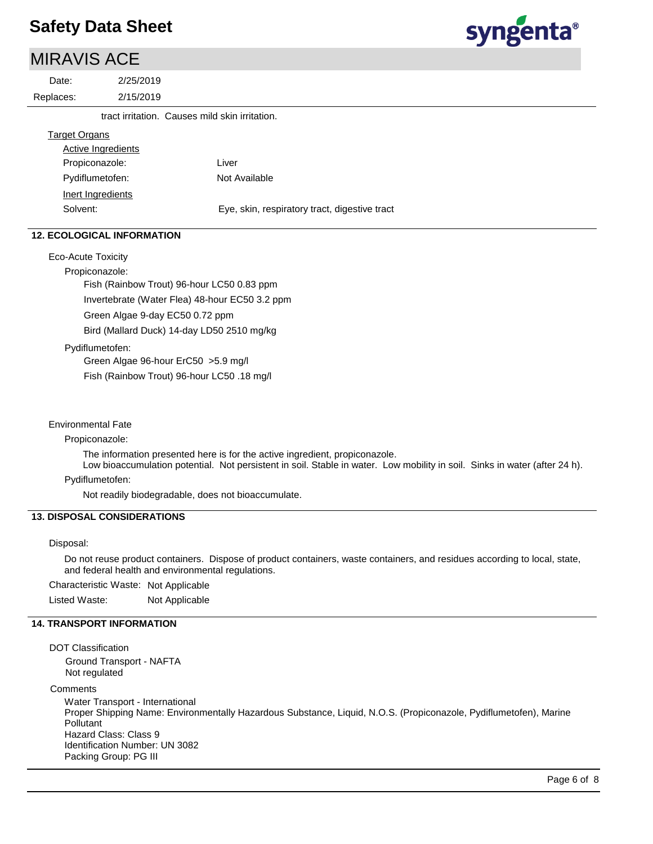### MIRAVIS ACE



| Date:                | 2/25/2019                                      |                                               |
|----------------------|------------------------------------------------|-----------------------------------------------|
| Replaces:            | 2/15/2019                                      |                                               |
|                      | tract irritation. Causes mild skin irritation. |                                               |
| <b>Target Organs</b> |                                                |                                               |
|                      | <b>Active Ingredients</b>                      |                                               |
|                      | Propiconazole:                                 | Liver                                         |
|                      | Pydiflumetofen:                                | Not Available                                 |
|                      | Inert Ingredients                              |                                               |
| Solvent:             |                                                | Eye, skin, respiratory tract, digestive tract |
|                      |                                                |                                               |

#### **12. ECOLOGICAL INFORMATION**

Eco-Acute Toxicity

Propiconazole:

Fish (Rainbow Trout) 96-hour LC50 0.83 ppm Invertebrate (Water Flea) 48-hour EC50 3.2 ppm Green Algae 9-day EC50 0.72 ppm Bird (Mallard Duck) 14-day LD50 2510 mg/kg

Pydiflumetofen:

Green Algae 96-hour ErC50 >5.9 mg/l

Fish (Rainbow Trout) 96-hour LC50 .18 mg/l

#### Environmental Fate

Propiconazole:

The information presented here is for the active ingredient, propiconazole.

Low bioaccumulation potential. Not persistent in soil. Stable in water. Low mobility in soil. Sinks in water (after 24 h). Pydiflumetofen:

Not readily biodegradable, does not bioaccumulate.

#### **13. DISPOSAL CONSIDERATIONS**

#### Disposal:

Do not reuse product containers. Dispose of product containers, waste containers, and residues according to local, state, and federal health and environmental regulations.

Characteristic Waste: Not Applicable

Listed Waste: Not Applicable

#### **14. TRANSPORT INFORMATION**

DOT Classification Ground Transport - NAFTA Not regulated **Comments** Water Transport - International Proper Shipping Name: Environmentally Hazardous Substance, Liquid, N.O.S. (Propiconazole, Pydiflumetofen), Marine Pollutant Hazard Class: Class 9 Identification Number: UN 3082 Packing Group: PG III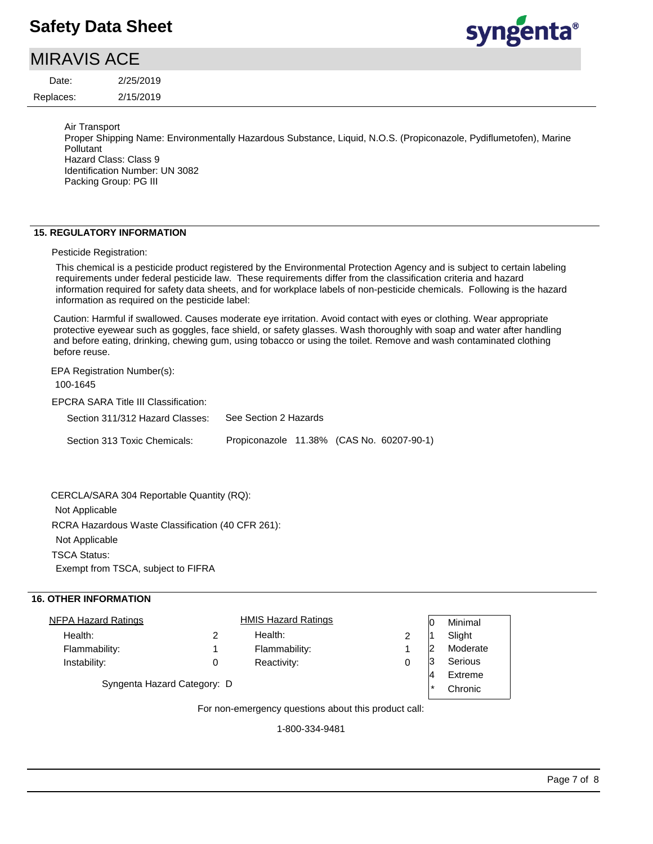## MIRAVIS ACE

2/15/2019 2/25/2019 Replaces: Date:



Air Transport

Proper Shipping Name: Environmentally Hazardous Substance, Liquid, N.O.S. (Propiconazole, Pydiflumetofen), Marine Pollutant Hazard Class: Class 9 Identification Number: UN 3082 Packing Group: PG III

#### **15. REGULATORY INFORMATION**

Pesticide Registration:

This chemical is a pesticide product registered by the Environmental Protection Agency and is subject to certain labeling requirements under federal pesticide law. These requirements differ from the classification criteria and hazard information required for safety data sheets, and for workplace labels of non-pesticide chemicals. Following is the hazard information as required on the pesticide label:

Caution: Harmful if swallowed. Causes moderate eye irritation. Avoid contact with eyes or clothing. Wear appropriate protective eyewear such as goggles, face shield, or safety glasses. Wash thoroughly with soap and water after handling and before eating, drinking, chewing gum, using tobacco or using the toilet. Remove and wash contaminated clothing before reuse.

EPA Registration Number(s):

EPCRA SARA Title III Classification: Section 311/312 Hazard Classes: Section 313 Toxic Chemicals: 100-1645 See Section 2 Hazards Propiconazole 11.38% (CAS No. 60207-90-1)

RCRA Hazardous Waste Classification (40 CFR 261): Not Applicable TSCA Status: Exempt from TSCA, subject to FIFRA CERCLA/SARA 304 Reportable Quantity (RQ): Not Applicable

#### **16. OTHER INFORMATION**

| <b>NFPA Hazard Ratings</b>                            |  | <b>HMIS Hazard Ratings</b> |   |        | Minimal  |
|-------------------------------------------------------|--|----------------------------|---|--------|----------|
| Health:                                               |  | Health:                    | 2 |        | Slight   |
| Flammability:                                         |  | Flammability:              |   |        | Moderate |
| Instability:                                          |  | Reactivity:                | 0 |        | Serious  |
|                                                       |  |                            |   |        | Extreme  |
| Syngenta Hazard Category: D                           |  |                            |   | $\ast$ | Chronic  |
| For non-americans' questions about this product solli |  |                            |   |        |          |

For non-emergency questions about this product call:

1-800-334-9481